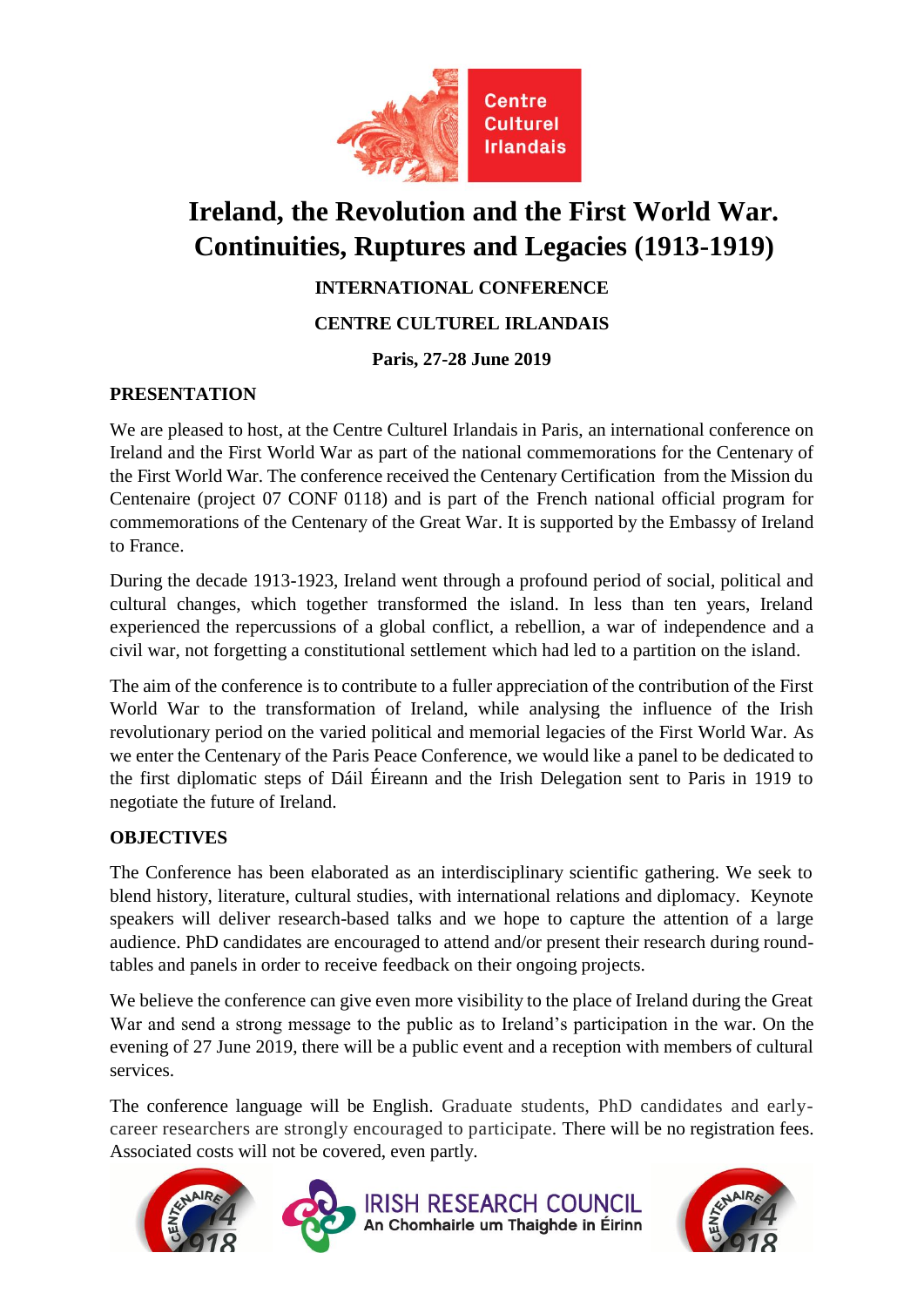

# **Ireland, the Revolution and the First World War. Continuities, Ruptures and Legacies (1913-1919)**

**INTERNATIONAL CONFERENCE**

**CENTRE CULTUREL IRLANDAIS**

## **Paris, 27-28 June 2019**

## **PRESENTATION**

We are pleased to host, at the Centre Culturel Irlandais in Paris, an international conference on Ireland and the First World War as part of the national commemorations for the Centenary of the First World War. The conference received the Centenary Certification from the Mission du Centenaire (project 07 CONF 0118) and is part of the French national official program for commemorations of the Centenary of the Great War. It is supported by the Embassy of Ireland to France.

During the decade 1913-1923, Ireland went through a profound period of social, political and cultural changes, which together transformed the island. In less than ten years, Ireland experienced the repercussions of a global conflict, a rebellion, a war of independence and a civil war, not forgetting a constitutional settlement which had led to a partition on the island.

The aim of the conference is to contribute to a fuller appreciation of the contribution of the First World War to the transformation of Ireland, while analysing the influence of the Irish revolutionary period on the varied political and memorial legacies of the First World War. As we enter the Centenary of the Paris Peace Conference, we would like a panel to be dedicated to the first diplomatic steps of Dáil Éireann and the Irish Delegation sent to Paris in 1919 to negotiate the future of Ireland.

## **OBJECTIVES**

The Conference has been elaborated as an interdisciplinary scientific gathering. We seek to blend history, literature, cultural studies, with international relations and diplomacy. Keynote speakers will deliver research-based talks and we hope to capture the attention of a large audience. PhD candidates are encouraged to attend and/or present their research during roundtables and panels in order to receive feedback on their ongoing projects.

We believe the conference can give even more visibility to the place of Ireland during the Great War and send a strong message to the public as to Ireland's participation in the war. On the evening of 27 June 2019, there will be a public event and a reception with members of cultural services.

The conference language will be English. Graduate students, PhD candidates and earlycareer researchers are strongly encouraged to participate. There will be no registration fees. Associated costs will not be covered, even partly.